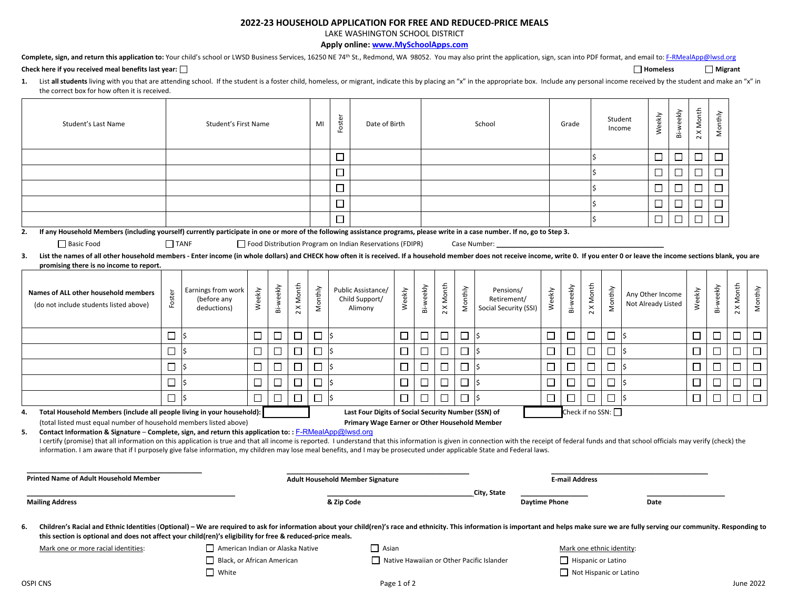## **2022‐23 HOUSEHOLD APPLICATION FOR FREE AND REDUCED‐PRICE MEALS**

LAKE WASHINGTON SCHOOL DISTRICT

**Apply online: www.MySchoolApps.com**

|  |  | Complete, sign, and return this application to: Your child's school or LWSD Business Services, 16250 NE 74 <sup>th</sup> St., Redmond, WA 98052. You may also print the application, sign, scan into PDF format, and email to: F-RMealAp |  |  |  |
|--|--|------------------------------------------------------------------------------------------------------------------------------------------------------------------------------------------------------------------------------------------|--|--|--|
|  |  |                                                                                                                                                                                                                                          |  |  |  |

## $\Box$  **Homeless**  $\Box$  **Migrant**  $\Box$  **Migrant**  $\Box$  **Migrant**  $\Box$  **Migrant**  $\Box$  **Migrant**  $\Box$  **Migrant**

| List all students living with you that are attending school. If the student is a foster child, homeless, or migrant, indicate this by placing an "x" in the appropriate box. Include any personal income received by the stude |
|--------------------------------------------------------------------------------------------------------------------------------------------------------------------------------------------------------------------------------|
| the correct box for how often it is received.                                                                                                                                                                                  |

| Student's Last Name                                                                                                                                                                                                                                                                                                                                                                                                                                                                                                                                                                              |             | Student's First Name                             |        |            |                                         | MI      | Foster                                    | Date of Birth                                            |        |           | School    |         |                                                   |                           | Grade              |                          | Student<br>Income |     | Weekly                                 | Bi-weekly | 2 X Month | Monthly   |           |         |
|--------------------------------------------------------------------------------------------------------------------------------------------------------------------------------------------------------------------------------------------------------------------------------------------------------------------------------------------------------------------------------------------------------------------------------------------------------------------------------------------------------------------------------------------------------------------------------------------------|-------------|--------------------------------------------------|--------|------------|-----------------------------------------|---------|-------------------------------------------|----------------------------------------------------------|--------|-----------|-----------|---------|---------------------------------------------------|---------------------------|--------------------|--------------------------|-------------------|-----|----------------------------------------|-----------|-----------|-----------|-----------|---------|
|                                                                                                                                                                                                                                                                                                                                                                                                                                                                                                                                                                                                  |             |                                                  |        |            |                                         |         | $\Box$                                    |                                                          |        |           |           |         |                                                   |                           |                    |                          |                   |     | □                                      | $\Box$    | $\Box$    | $\Box$    |           |         |
|                                                                                                                                                                                                                                                                                                                                                                                                                                                                                                                                                                                                  |             |                                                  |        |            |                                         |         | $\Box$                                    |                                                          |        |           |           |         |                                                   |                           |                    |                          |                   |     | $\Box$                                 | $\Box$    | $\Box$    | $\Box$    |           |         |
|                                                                                                                                                                                                                                                                                                                                                                                                                                                                                                                                                                                                  |             |                                                  |        |            |                                         |         | □                                         |                                                          |        |           |           |         |                                                   |                           |                    |                          |                   |     | $\Box$                                 | $\Box$    | $\Box$    | $\Box$    |           |         |
|                                                                                                                                                                                                                                                                                                                                                                                                                                                                                                                                                                                                  |             |                                                  |        |            |                                         |         | $\Box$                                    |                                                          |        |           |           |         |                                                   |                           |                    |                          |                   |     | $\Box$                                 | ⊔         | □         | $\Box$    |           |         |
|                                                                                                                                                                                                                                                                                                                                                                                                                                                                                                                                                                                                  |             |                                                  |        |            |                                         |         | □                                         |                                                          |        |           |           |         |                                                   |                           |                    |                          |                   |     | $\Box$                                 | □         | $\Box$    | $\Box$    |           |         |
| If any Household Members (including yourself) currently participate in one or more of the following assistance programs, please write in a case number. If no, go to Step 3.<br>2.                                                                                                                                                                                                                                                                                                                                                                                                               |             |                                                  |        |            |                                         |         |                                           |                                                          |        |           |           |         |                                                   |                           |                    |                          |                   |     |                                        |           |           |           |           |         |
| Basic Food                                                                                                                                                                                                                                                                                                                                                                                                                                                                                                                                                                                       | $\Box$ TANF |                                                  |        |            |                                         |         |                                           | Food Distribution Program on Indian Reservations (FDIPR) |        |           |           |         | Case Number:                                      |                           |                    |                          |                   |     |                                        |           |           |           |           |         |
| List the names of all other household members - Enter income (in whole dollars) and CHECK how often it is received. If a household member does not receive income, write 0. If you enter 0 or leave the income sections blank,<br>3.                                                                                                                                                                                                                                                                                                                                                             |             |                                                  |        |            |                                         |         |                                           |                                                          |        |           |           |         |                                                   |                           |                    |                          |                   |     |                                        |           |           |           |           |         |
| promising there is no income to report.                                                                                                                                                                                                                                                                                                                                                                                                                                                                                                                                                          |             |                                                  |        |            |                                         |         |                                           |                                                          |        |           |           |         |                                                   |                           |                    |                          |                   |     |                                        |           |           |           |           |         |
| Names of ALL other household members<br>(do not include students listed above)                                                                                                                                                                                                                                                                                                                                                                                                                                                                                                                   | Foster      | Earnings from work<br>(before any<br>deductions) | Weekly | Bi-weekly  | <b>X</b> Month<br>$\sim$                | Monthly |                                           | Public Assistance/<br>Child Support/<br>Alimony          | Weekly | Bi-weekly | 2 X Month | Monthly | Pensions/<br>Retirement/<br>Social Security (SSI) | Weekly                    | Bi-weekly          | <b>X</b> Month<br>$\sim$ | Monthly           |     | Any Other Income<br>Not Already Listed |           | Weekly    | Bi-weekly | 2 X Month | Monthly |
|                                                                                                                                                                                                                                                                                                                                                                                                                                                                                                                                                                                                  | □           | Ś                                                | $\Box$ | П          | П                                       | $\Box$  |                                           |                                                          | $\Box$ | $\Box$    | $\Box$    | $\Box$  | l\$                                               | $\Box$                    | $\Box$             | □                        | $\Box$            | l\$ |                                        |           | $\Box$    | $\Box$    | П         | $\Box$  |
|                                                                                                                                                                                                                                                                                                                                                                                                                                                                                                                                                                                                  | $\Box$      |                                                  | □      | $\Box$     | П                                       | □       | Ś                                         |                                                          | $\Box$ | $\Box$    | $\Box$    | $\Box$  | l\$                                               | $\Box$                    | $\Box$             | $\Box$                   | □                 | l\$ |                                        |           | □         | □         | $\Box$    | $\Box$  |
|                                                                                                                                                                                                                                                                                                                                                                                                                                                                                                                                                                                                  | $\Box$      | Ś                                                | $\Box$ | □          | П                                       | □       | I\$                                       |                                                          | □      | $\Box$    | $\Box$    | $\Box$  | l\$                                               | □                         | □                  | $\Box$                   | П                 | l\$ |                                        |           | □         | $\Box$    | □         | $\Box$  |
|                                                                                                                                                                                                                                                                                                                                                                                                                                                                                                                                                                                                  | $\Box$      |                                                  | $\Box$ | П          | П                                       | $\Box$  |                                           |                                                          | $\Box$ | $\Box$    | $\Box$    | $\Box$  | l\$                                               | $\Box$                    | $\Box$             | $\Box$                   | $\Box$            | l\$ |                                        |           | П         | $\Box$    |           | $\Box$  |
|                                                                                                                                                                                                                                                                                                                                                                                                                                                                                                                                                                                                  | $\Box$      |                                                  | П      | □          | $\Box$                                  | $\Box$  | ls.                                       |                                                          | $\Box$ | $\Box$    | П         | $\Box$  | ls.                                               | □                         | $\Box$             | $\Box$                   | $\Box$            | l\$ |                                        |           | $\Box$    | $\Box$    | $\Box$    | $\Box$  |
| Total Household Members (include all people living in your household):<br>4.                                                                                                                                                                                                                                                                                                                                                                                                                                                                                                                     |             |                                                  |        |            |                                         |         |                                           | Last Four Digits of Social Security Number (SSN) of      |        |           |           |         |                                                   |                           |                    |                          | Check if no SSN:  |     |                                        |           |           |           |           |         |
| (total listed must equal number of household members listed above)<br>Contact Information & Signature - Complete, sign, and return this application to:: F-RMealApp@lwsd.org<br>5.<br>I certify (promise) that all information on this application is true and that all income is reported. I understand that this information is given in connection with the receipt of federal funds and that school officials ma<br>information. I am aware that if I purposely give false information, my children may lose meal benefits, and I may be prosecuted under applicable State and Federal laws. |             |                                                  |        |            |                                         |         |                                           | Primary Wage Earner or Other Household Member            |        |           |           |         |                                                   |                           |                    |                          |                   |     |                                        |           |           |           |           |         |
| <b>Printed Name of Adult Household Member</b>                                                                                                                                                                                                                                                                                                                                                                                                                                                                                                                                                    |             |                                                  |        |            | <b>Adult Household Member Signature</b> |         |                                           |                                                          |        |           |           |         | <b>E-mail Address</b>                             |                           |                    |                          |                   |     |                                        |           |           |           |           |         |
| <b>Mailing Address</b>                                                                                                                                                                                                                                                                                                                                                                                                                                                                                                                                                                           |             |                                                  |        | & Zip Code |                                         |         | City, State<br><b>Daytime Phone</b>       |                                                          |        |           |           |         | Date                                              |                           |                    |                          |                   |     |                                        |           |           |           |           |         |
| Children's Racial and Ethnic Identities (Optional) - We are required to ask for information about your child(ren)'s race and ethnicity. This information is important and helps make sure we are fully serving our community.<br>6.<br>this section is optional and does not affect your child(ren)'s eligibility for free & reduced-price meals.                                                                                                                                                                                                                                                |             |                                                  |        |            |                                         |         |                                           |                                                          |        |           |           |         |                                                   |                           |                    |                          |                   |     |                                        |           |           |           |           |         |
| American Indian or Alaska Native<br>Mark one or more racial identities:                                                                                                                                                                                                                                                                                                                                                                                                                                                                                                                          |             |                                                  |        |            |                                         |         | $\Box$ Asian                              |                                                          |        |           |           |         |                                                   | Mark one ethnic identity: |                    |                          |                   |     |                                        |           |           |           |           |         |
| Black, or African American                                                                                                                                                                                                                                                                                                                                                                                                                                                                                                                                                                       |             |                                                  |        |            |                                         |         | Native Hawaiian or Other Pacific Islander |                                                          |        |           |           |         |                                                   |                           | Hispanic or Latino |                          |                   |     |                                        |           |           |           |           |         |
| White<br><b>OSPI CNS</b>                                                                                                                                                                                                                                                                                                                                                                                                                                                                                                                                                                         |             |                                                  |        |            |                                         |         | Not Hispanic or Latino<br>Page 1 of 2     |                                                          |        |           |           |         |                                                   |                           |                    |                          | <b>June 2022</b>  |     |                                        |           |           |           |           |         |